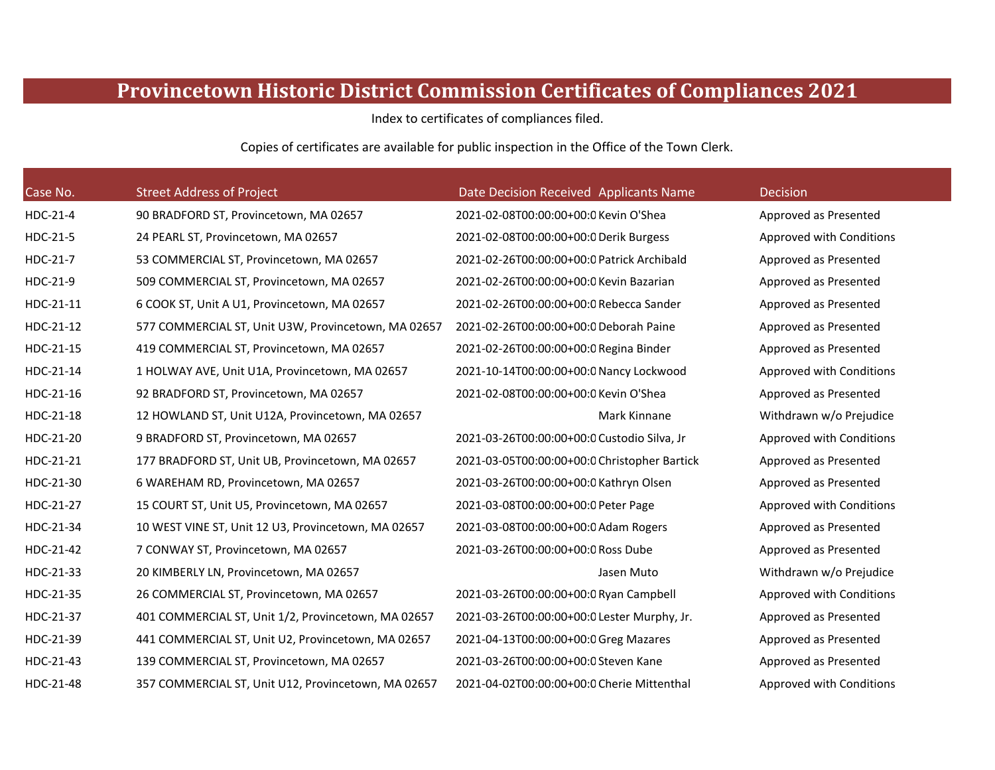## **Provincetown Historic District Commission Certificates of Compliances 2021**

Index to certificates of compliances filed.

Copies of certificates are available for public inspection in the Office of the Town Clerk.

| Case No.  | <b>Street Address of Project</b>                    | Date Decision Received Applicants Name       | <b>Decision</b>          |
|-----------|-----------------------------------------------------|----------------------------------------------|--------------------------|
| HDC-21-4  | 90 BRADFORD ST, Provincetown, MA 02657              | 2021-02-08T00:00:00+00:0 Kevin O'Shea        | Approved as Presented    |
| HDC-21-5  | 24 PEARL ST, Provincetown, MA 02657                 | 2021-02-08T00:00:00+00:0 Derik Burgess       | Approved with Conditions |
| HDC-21-7  | 53 COMMERCIAL ST, Provincetown, MA 02657            | 2021-02-26T00:00:00+00:0 Patrick Archibald   | Approved as Presented    |
| HDC-21-9  | 509 COMMERCIAL ST, Provincetown, MA 02657           | 2021-02-26T00:00:00+00:0 Kevin Bazarian      | Approved as Presented    |
| HDC-21-11 | 6 COOK ST, Unit A U1, Provincetown, MA 02657        | 2021-02-26T00:00:00+00:0 Rebecca Sander      | Approved as Presented    |
| HDC-21-12 | 577 COMMERCIAL ST, Unit U3W, Provincetown, MA 02657 | 2021-02-26T00:00:00+00:0 Deborah Paine       | Approved as Presented    |
| HDC-21-15 | 419 COMMERCIAL ST, Provincetown, MA 02657           | 2021-02-26T00:00:00+00:0 Regina Binder       | Approved as Presented    |
| HDC-21-14 | 1 HOLWAY AVE, Unit U1A, Provincetown, MA 02657      | 2021-10-14T00:00:00+00:0 Nancy Lockwood      | Approved with Conditions |
| HDC-21-16 | 92 BRADFORD ST, Provincetown, MA 02657              | 2021-02-08T00:00:00+00:0 Kevin O'Shea        | Approved as Presented    |
| HDC-21-18 | 12 HOWLAND ST, Unit U12A, Provincetown, MA 02657    | Mark Kinnane                                 | Withdrawn w/o Prejudice  |
| HDC-21-20 | 9 BRADFORD ST, Provincetown, MA 02657               | 2021-03-26T00:00:00+00:0 Custodio Silva, Jr  | Approved with Conditions |
| HDC-21-21 | 177 BRADFORD ST, Unit UB, Provincetown, MA 02657    | 2021-03-05T00:00:00+00:0 Christopher Bartick | Approved as Presented    |
| HDC-21-30 | 6 WAREHAM RD, Provincetown, MA 02657                | 2021-03-26T00:00:00+00:0 Kathryn Olsen       | Approved as Presented    |
| HDC-21-27 | 15 COURT ST, Unit U5, Provincetown, MA 02657        | 2021-03-08T00:00:00+00:0 Peter Page          | Approved with Conditions |
| HDC-21-34 | 10 WEST VINE ST, Unit 12 U3, Provincetown, MA 02657 | 2021-03-08T00:00:00+00:0 Adam Rogers         | Approved as Presented    |
| HDC-21-42 | 7 CONWAY ST, Provincetown, MA 02657                 | 2021-03-26T00:00:00+00:0 Ross Dube           | Approved as Presented    |
| HDC-21-33 | 20 KIMBERLY LN, Provincetown, MA 02657              | Jasen Muto                                   | Withdrawn w/o Prejudice  |
| HDC-21-35 | 26 COMMERCIAL ST, Provincetown, MA 02657            | 2021-03-26T00:00:00+00:0 Ryan Campbell       | Approved with Conditions |
| HDC-21-37 | 401 COMMERCIAL ST, Unit 1/2, Provincetown, MA 02657 | 2021-03-26T00:00:00+00:0 Lester Murphy, Jr.  | Approved as Presented    |
| HDC-21-39 | 441 COMMERCIAL ST, Unit U2, Provincetown, MA 02657  | 2021-04-13T00:00:00+00:0 Greg Mazares        | Approved as Presented    |
| HDC-21-43 | 139 COMMERCIAL ST, Provincetown, MA 02657           | 2021-03-26T00:00:00+00:0 Steven Kane         | Approved as Presented    |
| HDC-21-48 | 357 COMMERCIAL ST, Unit U12, Provincetown, MA 02657 | 2021-04-02T00:00:00+00:0 Cherie Mittenthal   | Approved with Conditions |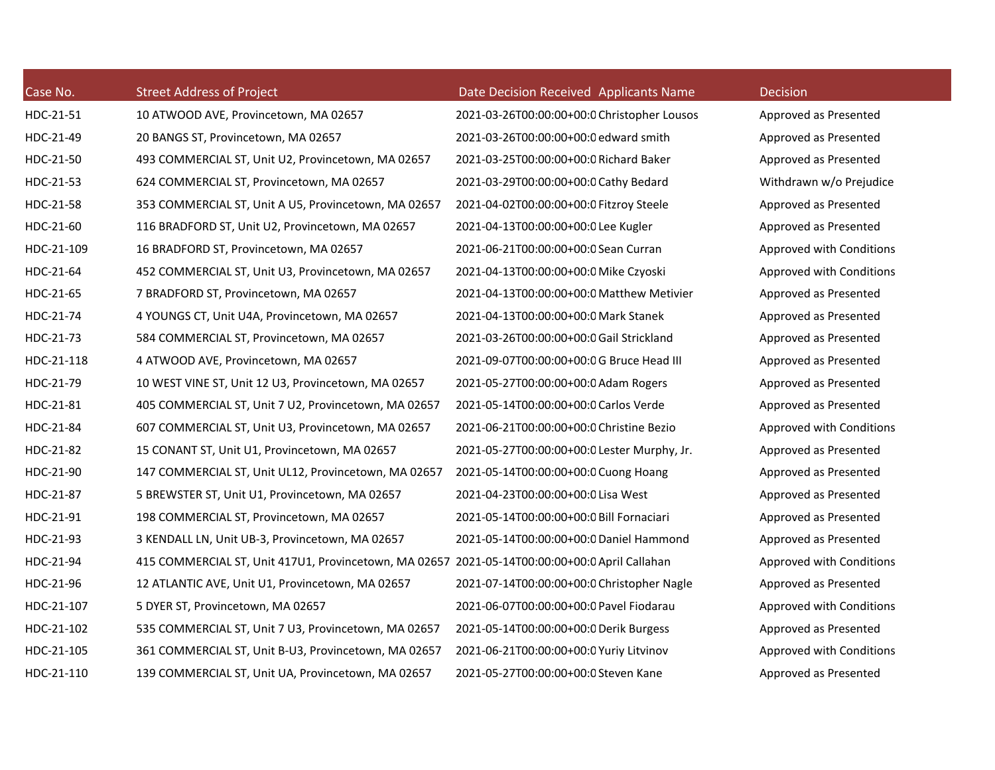| Case No.   | <b>Street Address of Project</b>                                                              | Date Decision Received Applicants Name      | Decision |
|------------|-----------------------------------------------------------------------------------------------|---------------------------------------------|----------|
| HDC-21-51  | 10 ATWOOD AVE, Provincetown, MA 02657                                                         | 2021-03-26T00:00:00+00:0 Christopher Lousos | Approve  |
| HDC-21-49  | 20 BANGS ST, Provincetown, MA 02657                                                           | 2021-03-26T00:00:00+00:0 edward smith       | Approve  |
| HDC-21-50  | 493 COMMERCIAL ST, Unit U2, Provincetown, MA 02657                                            | 2021-03-25T00:00:00+00:0 Richard Baker      | Approve  |
| HDC-21-53  | 624 COMMERCIAL ST, Provincetown, MA 02657                                                     | 2021-03-29T00:00:00+00:0 Cathy Bedard       | Withdrav |
| HDC-21-58  | 353 COMMERCIAL ST, Unit A U5, Provincetown, MA 02657                                          | 2021-04-02T00:00:00+00:0 Fitzroy Steele     | Approve  |
| HDC-21-60  | 116 BRADFORD ST, Unit U2, Provincetown, MA 02657                                              | 2021-04-13T00:00:00+00:0 Lee Kugler         | Approve  |
| HDC-21-109 | 16 BRADFORD ST, Provincetown, MA 02657                                                        | 2021-06-21T00:00:00+00:0 Sean Curran        | Approve  |
| HDC-21-64  | 452 COMMERCIAL ST, Unit U3, Provincetown, MA 02657                                            | 2021-04-13T00:00:00+00:0 Mike Czyoski       | Approve  |
| HDC-21-65  | 7 BRADFORD ST, Provincetown, MA 02657                                                         | 2021-04-13T00:00:00+00:0 Matthew Metivier   | Approve  |
| HDC-21-74  | 4 YOUNGS CT, Unit U4A, Provincetown, MA 02657                                                 | 2021-04-13T00:00:00+00:0 Mark Stanek        | Approver |
| HDC-21-73  | 584 COMMERCIAL ST, Provincetown, MA 02657                                                     | 2021-03-26T00:00:00+00:0 Gail Strickland    | Approver |
| HDC-21-118 | 4 ATWOOD AVE, Provincetown, MA 02657                                                          | 2021-09-07T00:00:00+00:0G Bruce Head III    | Approve  |
| HDC-21-79  | 10 WEST VINE ST, Unit 12 U3, Provincetown, MA 02657                                           | 2021-05-27T00:00:00+00:0 Adam Rogers        | Approve  |
| HDC-21-81  | 405 COMMERCIAL ST, Unit 7 U2, Provincetown, MA 02657                                          | 2021-05-14T00:00:00+00:0 Carlos Verde       | Approve  |
| HDC-21-84  | 607 COMMERCIAL ST, Unit U3, Provincetown, MA 02657                                            | 2021-06-21T00:00:00+00:0 Christine Bezio    | Approve  |
| HDC-21-82  | 15 CONANT ST, Unit U1, Provincetown, MA 02657                                                 | 2021-05-27T00:00:00+00:0 Lester Murphy, Jr. | Approve  |
| HDC-21-90  | 147 COMMERCIAL ST, Unit UL12, Provincetown, MA 02657                                          | 2021-05-14T00:00:00+00:0 Cuong Hoang        | Approve  |
| HDC-21-87  | 5 BREWSTER ST, Unit U1, Provincetown, MA 02657                                                | 2021-04-23T00:00:00+00:0 Lisa West          | Approve  |
| HDC-21-91  | 198 COMMERCIAL ST, Provincetown, MA 02657                                                     | 2021-05-14T00:00:00+00:0 Bill Fornaciari    | Approve  |
| HDC-21-93  | 3 KENDALL LN, Unit UB-3, Provincetown, MA 02657                                               | 2021-05-14T00:00:00+00:0 Daniel Hammond     | Approve  |
| HDC-21-94  | 415 COMMERCIAL ST, Unit 417U1, Provincetown, MA 02657 2021-05-14T00:00:00+00:0 April Callahan |                                             | Approve  |
| HDC-21-96  | 12 ATLANTIC AVE, Unit U1, Provincetown, MA 02657                                              | 2021-07-14T00:00:00+00:0 Christopher Nagle  | Approve  |
| HDC-21-107 | 5 DYER ST, Provincetown, MA 02657                                                             | 2021-06-07T00:00:00+00:0 Pavel Fiodarau     | Approve  |
| HDC-21-102 | 535 COMMERCIAL ST, Unit 7 U3, Provincetown, MA 02657                                          | 2021-05-14T00:00:00+00:0 Derik Burgess      | Approve  |
| HDC-21-105 | 361 COMMERCIAL ST, Unit B-U3, Provincetown, MA 02657                                          | 2021-06-21T00:00:00+00:0 Yuriy Litvinov     | Approve  |
| HDC-21-110 | 139 COMMERCIAL ST. Unit UA. Provincetown, MA 02657                                            | 2021-05-27T00:00:00+00:0 Steven Kane        | Approve  |

Approved as Presented Approved as Presented Approved as Presented Withdrawn w/o Prejudice Approved as Presented Approved as Presented Approved with Conditions Approved with Conditions Approved as Presented Approved as Presented Approved as Presented Approved as Presented Approved as Presented Approved as Presented Approved with Conditions Approved as Presented Approved as Presented Approved as Presented Approved as Presented Approved as Presented Approved with Conditions Approved as Presented Approved with Conditions Approved as Presented Approved with Conditions Approved as Presented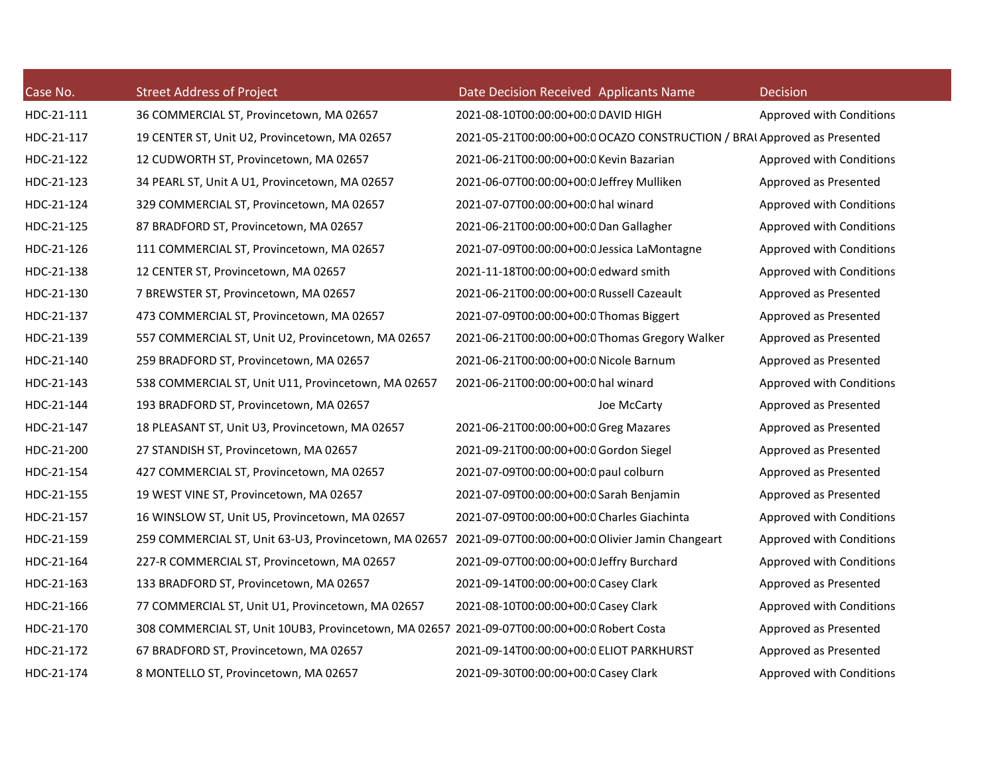| Case No.   | <b>Street Address of Project</b>                                                                       | Date Decision Received Applicants Name                                   | Decision                 |
|------------|--------------------------------------------------------------------------------------------------------|--------------------------------------------------------------------------|--------------------------|
| HDC-21-111 | 36 COMMERCIAL ST, Provincetown, MA 02657                                                               | 2021-08-10T00:00:00+00:0 DAVID HIGH                                      | Approved with Conditions |
| HDC-21-117 | 19 CENTER ST, Unit U2, Provincetown, MA 02657                                                          | 2021-05-21T00:00:00+00:0 OCAZO CONSTRUCTION / BRAL Approved as Presented |                          |
| HDC-21-122 | 12 CUDWORTH ST, Provincetown, MA 02657                                                                 | 2021-06-21T00:00:00+00:0 Kevin Bazarian                                  | Approved with Conditions |
| HDC-21-123 | 34 PEARL ST, Unit A U1, Provincetown, MA 02657                                                         | 2021-06-07T00:00:00+00:0 Jeffrey Mulliken                                | Approved as Presented    |
| HDC-21-124 | 329 COMMERCIAL ST, Provincetown, MA 02657                                                              | 2021-07-07T00:00:00+00:0 hal winard                                      | Approved with Conditions |
| HDC-21-125 | 87 BRADFORD ST, Provincetown, MA 02657                                                                 | 2021-06-21T00:00:00+00:0 Dan Gallagher                                   | Approved with Conditions |
| HDC-21-126 | 111 COMMERCIAL ST, Provincetown, MA 02657                                                              | 2021-07-09T00:00:00+00:0 Jessica LaMontagne                              | Approved with Conditions |
| HDC-21-138 | 12 CENTER ST, Provincetown, MA 02657                                                                   | 2021-11-18T00:00:00+00:0 edward smith                                    | Approved with Conditions |
| HDC-21-130 | 7 BREWSTER ST, Provincetown, MA 02657                                                                  | 2021-06-21T00:00:00+00:0 Russell Cazeault                                | Approved as Presented    |
| HDC-21-137 | 473 COMMERCIAL ST, Provincetown, MA 02657                                                              | 2021-07-09T00:00:00+00:0 Thomas Biggert                                  | Approved as Presented    |
| HDC-21-139 | 557 COMMERCIAL ST, Unit U2, Provincetown, MA 02657                                                     | 2021-06-21T00:00:00+00:0 Thomas Gregory Walker                           | Approved as Presented    |
| HDC-21-140 | 259 BRADFORD ST, Provincetown, MA 02657                                                                | 2021-06-21T00:00:00+00:0 Nicole Barnum                                   | Approved as Presented    |
| HDC-21-143 | 538 COMMERCIAL ST, Unit U11, Provincetown, MA 02657                                                    | 2021-06-21T00:00:00+00:0 hal winard                                      | Approved with Conditions |
| HDC-21-144 | 193 BRADFORD ST, Provincetown, MA 02657                                                                | Joe McCarty                                                              | Approved as Presented    |
| HDC-21-147 | 18 PLEASANT ST, Unit U3, Provincetown, MA 02657                                                        | 2021-06-21T00:00:00+00:0 Greg Mazares                                    | Approved as Presented    |
| HDC-21-200 | 27 STANDISH ST, Provincetown, MA 02657                                                                 | 2021-09-21T00:00:00+00:0 Gordon Siegel                                   | Approved as Presented    |
| HDC-21-154 | 427 COMMERCIAL ST, Provincetown, MA 02657                                                              | 2021-07-09T00:00:00+00:0 paul colburn                                    | Approved as Presented    |
| HDC-21-155 | 19 WEST VINE ST, Provincetown, MA 02657                                                                | 2021-07-09T00:00:00+00:0 Sarah Benjamin                                  | Approved as Presented    |
| HDC-21-157 | 16 WINSLOW ST, Unit U5, Provincetown, MA 02657                                                         | 2021-07-09T00:00:00+00:0 Charles Giachinta                               | Approved with Conditions |
| HDC-21-159 | 259 COMMERCIAL ST, Unit 63-U3, Provincetown, MA 02657 2021-09-07T00:00:00+00:0 Olivier Jamin Changeart |                                                                          | Approved with Conditions |
| HDC-21-164 | 227-R COMMERCIAL ST, Provincetown, MA 02657                                                            | 2021-09-07T00:00:00+00:0 Jeffry Burchard                                 | Approved with Conditions |
| HDC-21-163 | 133 BRADFORD ST, Provincetown, MA 02657                                                                | 2021-09-14T00:00:00+00:0 Casey Clark                                     | Approved as Presented    |
| HDC-21-166 | 77 COMMERCIAL ST, Unit U1, Provincetown, MA 02657                                                      | 2021-08-10T00:00:00+00:0 Casey Clark                                     | Approved with Conditions |
| HDC-21-170 | 308 COMMERCIAL ST, Unit 10UB3, Provincetown, MA 02657 2021-09-07T00:00:00+00:0 Robert Costa            |                                                                          | Approved as Presented    |
| HDC-21-172 | 67 BRADFORD ST, Provincetown, MA 02657                                                                 | 2021-09-14T00:00:00+00:0 ELIOT PARKHURST                                 | Approved as Presented    |
| HDC-21-174 | 8 MONTELLO ST, Provincetown, MA 02657                                                                  | 2021-09-30T00:00:00+00:0 Casey Clark                                     | Approved with Conditions |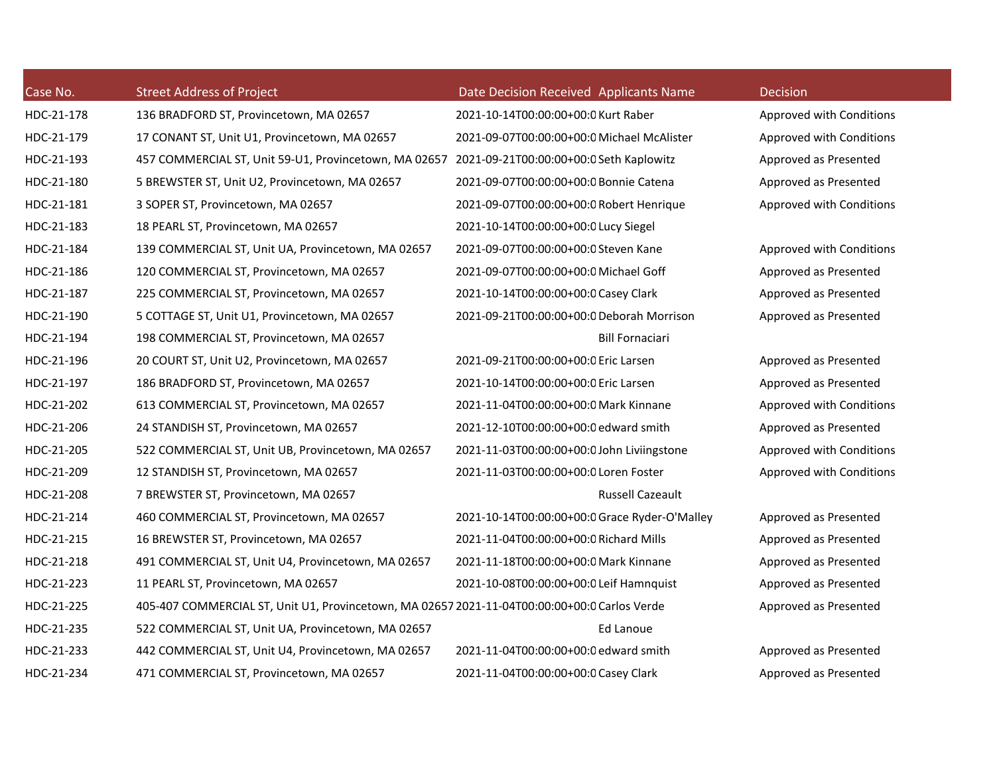| Case No.   | <b>Street Address of Project</b>                                                             | Date Decision Received Applicants Name        | Decision                 |
|------------|----------------------------------------------------------------------------------------------|-----------------------------------------------|--------------------------|
| HDC-21-178 | 136 BRADFORD ST, Provincetown, MA 02657                                                      | 2021-10-14T00:00:00+00:0 Kurt Raber           | Approved with Conditions |
| HDC-21-179 | 17 CONANT ST, Unit U1, Provincetown, MA 02657                                                | 2021-09-07T00:00:00+00:0 Michael McAlister    | Approved with Conditions |
| HDC-21-193 | 457 COMMERCIAL ST, Unit 59-U1, Provincetown, MA 02657                                        | 2021-09-21T00:00:00+00:0 Seth Kaplowitz       | Approved as Presented    |
| HDC-21-180 | 5 BREWSTER ST, Unit U2, Provincetown, MA 02657                                               | 2021-09-07T00:00:00+00:0 Bonnie Catena        | Approved as Presented    |
| HDC-21-181 | 3 SOPER ST, Provincetown, MA 02657                                                           | 2021-09-07T00:00:00+00:0 Robert Henrique      | Approved with Conditions |
| HDC-21-183 | 18 PEARL ST, Provincetown, MA 02657                                                          | 2021-10-14T00:00:00+00:0 Lucy Siegel          |                          |
| HDC-21-184 | 139 COMMERCIAL ST, Unit UA, Provincetown, MA 02657                                           | 2021-09-07T00:00:00+00:0 Steven Kane          | Approved with Conditions |
| HDC-21-186 | 120 COMMERCIAL ST, Provincetown, MA 02657                                                    | 2021-09-07T00:00:00+00:0 Michael Goff         | Approved as Presented    |
| HDC-21-187 | 225 COMMERCIAL ST, Provincetown, MA 02657                                                    | 2021-10-14T00:00:00+00:0 Casey Clark          | Approved as Presented    |
| HDC-21-190 | 5 COTTAGE ST, Unit U1, Provincetown, MA 02657                                                | 2021-09-21T00:00:00+00:0 Deborah Morrison     | Approved as Presented    |
| HDC-21-194 | 198 COMMERCIAL ST, Provincetown, MA 02657                                                    | <b>Bill Fornaciari</b>                        |                          |
| HDC-21-196 | 20 COURT ST, Unit U2, Provincetown, MA 02657                                                 | 2021-09-21T00:00:00+00:0 Eric Larsen          | Approved as Presented    |
| HDC-21-197 | 186 BRADFORD ST, Provincetown, MA 02657                                                      | 2021-10-14T00:00:00+00:0 Eric Larsen          | Approved as Presented    |
| HDC-21-202 | 613 COMMERCIAL ST, Provincetown, MA 02657                                                    | 2021-11-04T00:00:00+00:0 Mark Kinnane         | Approved with Conditions |
| HDC-21-206 | 24 STANDISH ST, Provincetown, MA 02657                                                       | 2021-12-10T00:00:00+00:0 edward smith         | Approved as Presented    |
| HDC-21-205 | 522 COMMERCIAL ST, Unit UB, Provincetown, MA 02657                                           | 2021-11-03T00:00:00+00:0 John Liviingstone    | Approved with Conditions |
| HDC-21-209 | 12 STANDISH ST, Provincetown, MA 02657                                                       | 2021-11-03T00:00:00+00:0 Loren Foster         | Approved with Conditions |
| HDC-21-208 | 7 BREWSTER ST, Provincetown, MA 02657                                                        | Russell Cazeault                              |                          |
| HDC-21-214 | 460 COMMERCIAL ST, Provincetown, MA 02657                                                    | 2021-10-14T00:00:00+00:0 Grace Ryder-O'Malley | Approved as Presented    |
| HDC-21-215 | 16 BREWSTER ST, Provincetown, MA 02657                                                       | 2021-11-04T00:00:00+00:0 Richard Mills        | Approved as Presented    |
| HDC-21-218 | 491 COMMERCIAL ST, Unit U4, Provincetown, MA 02657                                           | 2021-11-18T00:00:00+00:0 Mark Kinnane         | Approved as Presented    |
| HDC-21-223 | 11 PEARL ST, Provincetown, MA 02657                                                          | 2021-10-08T00:00:00+00:0 Leif Hamnquist       | Approved as Presented    |
| HDC-21-225 | 405-407 COMMERCIAL ST, Unit U1, Provincetown, MA 02657 2021-11-04T00:00:00+00:0 Carlos Verde |                                               | Approved as Presented    |
| HDC-21-235 | 522 COMMERCIAL ST, Unit UA, Provincetown, MA 02657                                           | Ed Lanoue                                     |                          |
| HDC-21-233 | 442 COMMERCIAL ST, Unit U4, Provincetown, MA 02657                                           | 2021-11-04T00:00:00+00:0 edward smith         | Approved as Presented    |
| HDC-21-234 | 471 COMMERCIAL ST, Provincetown, MA 02657                                                    | 2021-11-04T00:00:00+00:0 Casey Clark          | Approved as Presented    |